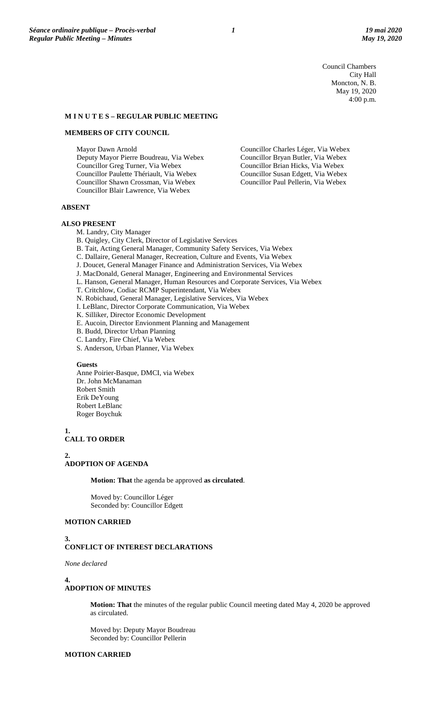Council Chambers City Hall Moncton, N. B. May 19, 2020 4:00 p.m.

Councillor Charles Léger, Via Webex Councillor Bryan Butler, Via Webex Councillor Brian Hicks, Via Webex Councillor Susan Edgett, Via Webex Councillor Paul Pellerin, Via Webex

## **M I N U T E S – REGULAR PUBLIC MEETING**

### **MEMBERS OF CITY COUNCIL**

Mayor Dawn Arnold

 Deputy Mayor Pierre Boudreau, Via Webex Councillor Greg Turner, Via Webex Councillor Paulette Thériault, Via Webex Councillor Shawn Crossman, Via Webex Councillor Blair Lawrence, Via Webex

### **ABSENT**

#### **ALSO PRESENT**

M. Landry, City Manager

B. Quigley, City Clerk, Director of Legislative Services

- B. Tait, Acting General Manager, Community Safety Services, Via Webex
- C. Dallaire, General Manager, Recreation, Culture and Events, Via Webex
- J. Doucet, General Manager Finance and Administration Services, Via Webex
- J. MacDonald, General Manager, Engineering and Environmental Services
- L. Hanson, General Manager, Human Resources and Corporate Services, Via Webex
- T. Critchlow, Codiac RCMP Superintendant, Via Webex
- N. Robichaud, General Manager, Legislative Services, Via Webex
- I. LeBlanc, Director Corporate Communication, Via Webex
- K. Silliker, Director Economic Development
- E. Aucoin, Director Envionment Planning and Management
- B. Budd, Director Urban Planning
- C. Landry, Fire Chief, Via Webex
- S. Anderson, Urban Planner, Via Webex

#### **Guests**

Anne Poirier-Basque, DMCI, via Webex Dr. John McManaman Robert Smith Erik DeYoung Robert LeBlanc Roger Boychuk

**1.**

## **CALL TO ORDER**

**2.**

## **ADOPTION OF AGENDA**

**Motion: That** the agenda be approved **as circulated**.

Moved by: Councillor Léger Seconded by: Councillor Edgett

## **MOTION CARRIED**

#### **3. CONFLICT OF INTEREST DECLARATIONS**

*None declared*

#### **4.**

## **ADOPTION OF MINUTES**

**Motion: That** the minutes of the regular public Council meeting dated May 4, 2020 be approved as circulated.

Moved by: Deputy Mayor Boudreau Seconded by: Councillor Pellerin

## **MOTION CARRIED**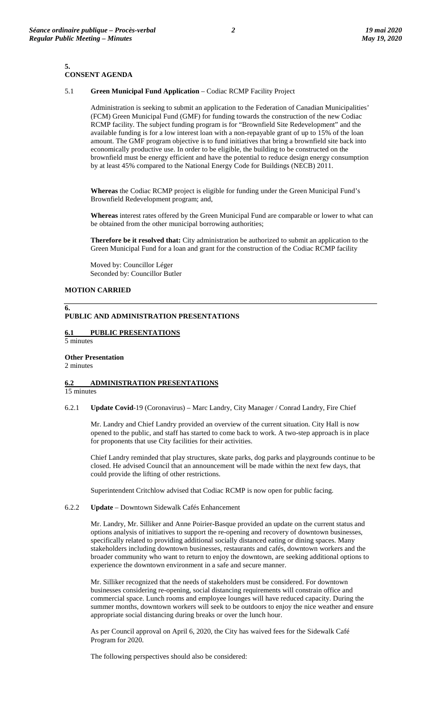#### **5. CONSENT AGENDA**

## 5.1 **Green Municipal Fund Application** – Codiac RCMP Facility Project

Administration is seeking to submit an application to the Federation of Canadian Municipalities' (FCM) Green Municipal Fund (GMF) for funding towards the construction of the new Codiac RCMP facility. The subject funding program is for "Brownfield Site Redevelopment" and the available funding is for a low interest loan with a non-repayable grant of up to 15% of the loan amount. The GMF program objective is to fund initiatives that bring a brownfield site back into economically productive use. In order to be eligible, the building to be constructed on the brownfield must be energy efficient and have the potential to reduce design energy consumption by at least 45% compared to the National Energy Code for Buildings (NECB) 2011.

**Whereas** the Codiac RCMP project is eligible for funding under the Green Municipal Fund's Brownfield Redevelopment program; and,

**Whereas** interest rates offered by the Green Municipal Fund are comparable or lower to what can be obtained from the other municipal borrowing authorities;

**Therefore be it resolved that:** City administration be authorized to submit an application to the Green Municipal Fund for a loan and grant for the construction of the Codiac RCMP facility

Moved by: Councillor Léger Seconded by: Councillor Butler

## **MOTION CARRIED**

### **6. PUBLIC AND ADMINISTRATION PRESENTATIONS**

## **6.1 PUBLIC PRESENTATIONS**

5 minutes

**Other Presentation** 

2 minutes

#### **6.2 ADMINISTRATION PRESENTATIONS**  15 minutes

6.2.1 **Update Covid**-19 (Coronavirus) – Marc Landry, City Manager / Conrad Landry, Fire Chief

Mr. Landry and Chief Landry provided an overview of the current situation. City Hall is now opened to the public, and staff has started to come back to work. A two-step approach is in place for proponents that use City facilities for their activities.

Chief Landry reminded that play structures, skate parks, dog parks and playgrounds continue to be closed. He advised Council that an announcement will be made within the next few days, that could provide the lifting of other restrictions.

Superintendent Critchlow advised that Codiac RCMP is now open for public facing.

## 6.2.2 **Update** – Downtown Sidewalk Cafés Enhancement

Mr. Landry, Mr. Silliker and Anne Poirier-Basque provided an update on the current status and options analysis of initiatives to support the re-opening and recovery of downtown businesses, specifically related to providing additional socially distanced eating or dining spaces. Many stakeholders including downtown businesses, restaurants and cafés, downtown workers and the broader community who want to return to enjoy the downtown, are seeking additional options to experience the downtown environment in a safe and secure manner.

Mr. Silliker recognized that the needs of stakeholders must be considered. For downtown businesses considering re-opening, social distancing requirements will constrain office and commercial space. Lunch rooms and employee lounges will have reduced capacity. During the summer months, downtown workers will seek to be outdoors to enjoy the nice weather and ensure appropriate social distancing during breaks or over the lunch hour.

As per Council approval on April 6, 2020, the City has waived fees for the Sidewalk Café Program for 2020.

The following perspectives should also be considered: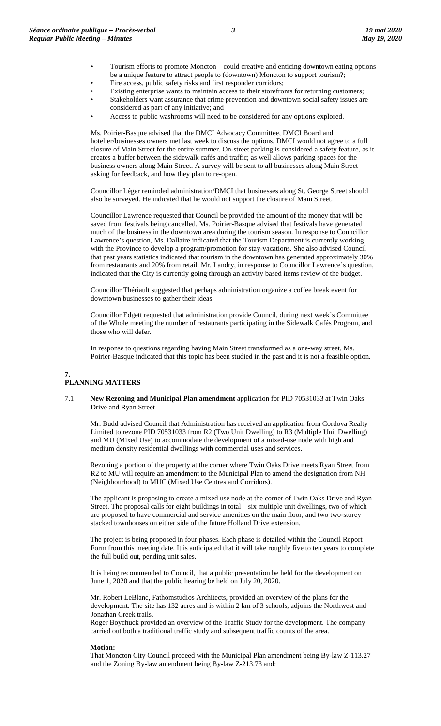- Tourism efforts to promote Moncton could creative and enticing downtown eating options be a unique feature to attract people to (downtown) Moncton to support tourism?;
- Fire access, public safety risks and first responder corridors;
- Existing enterprise wants to maintain access to their storefronts for returning customers;
- Stakeholders want assurance that crime prevention and downtown social safety issues are considered as part of any initiative; and
- Access to public washrooms will need to be considered for any options explored.

Ms. Poirier-Basque advised that the DMCI Advocacy Committee, DMCI Board and hotelier/businesses owners met last week to discuss the options. DMCI would not agree to a full closure of Main Street for the entire summer. On-street parking is considered a safety feature, as it creates a buffer between the sidewalk cafés and traffic; as well allows parking spaces for the business owners along Main Street. A survey will be sent to all businesses along Main Street asking for feedback, and how they plan to re-open.

Councillor Léger reminded administration/DMCI that businesses along St. George Street should also be surveyed. He indicated that he would not support the closure of Main Street.

Councillor Lawrence requested that Council be provided the amount of the money that will be saved from festivals being cancelled. Ms. Poirier-Basque advised that festivals have generated much of the business in the downtown area during the tourism season. In response to Councillor Lawrence's question, Ms. Dallaire indicated that the Tourism Department is currently working with the Province to develop a program/promotion for stay-vacations. She also advised Council that past years statistics indicated that tourism in the downtown has generated approximately 30% from restaurants and 20% from retail. Mr. Landry, in response to Councillor Lawrence's question, indicated that the City is currently going through an activity based items review of the budget.

Councillor Thériault suggested that perhaps administration organize a coffee break event for downtown businesses to gather their ideas.

Councillor Edgett requested that administration provide Council, during next week's Committee of the Whole meeting the number of restaurants participating in the Sidewalk Cafés Program, and those who will defer.

In response to questions regarding having Main Street transformed as a one-way street, Ms. Poirier-Basque indicated that this topic has been studied in the past and it is not a feasible option.

## **7. PLANNING MATTERS**

### 7.1 **New Rezoning and Municipal Plan amendment** application for PID 70531033 at Twin Oaks Drive and Ryan Street

Mr. Budd advised Council that Administration has received an application from Cordova Realty Limited to rezone PID 70531033 from R2 (Two Unit Dwelling) to R3 (Multiple Unit Dwelling) and MU (Mixed Use) to accommodate the development of a mixed-use node with high and medium density residential dwellings with commercial uses and services.

Rezoning a portion of the property at the corner where Twin Oaks Drive meets Ryan Street from R2 to MU will require an amendment to the Municipal Plan to amend the designation from NH (Neighbourhood) to MUC (Mixed Use Centres and Corridors).

The applicant is proposing to create a mixed use node at the corner of Twin Oaks Drive and Ryan Street. The proposal calls for eight buildings in total – six multiple unit dwellings, two of which are proposed to have commercial and service amenities on the main floor, and two two-storey stacked townhouses on either side of the future Holland Drive extension.

The project is being proposed in four phases. Each phase is detailed within the Council Report Form from this meeting date. It is anticipated that it will take roughly five to ten years to complete the full build out, pending unit sales.

It is being recommended to Council, that a public presentation be held for the development on June 1, 2020 and that the public hearing be held on July 20, 2020.

Mr. Robert LeBlanc, Fathomstudios Architects, provided an overview of the plans for the development. The site has 132 acres and is within 2 km of 3 schools, adjoins the Northwest and Jonathan Creek trails.

Roger Boychuck provided an overview of the Traffic Study for the development. The company carried out both a traditional traffic study and subsequent traffic counts of the area.

## **Motion:**

That Moncton City Council proceed with the Municipal Plan amendment being By-law Z-113.27 and the Zoning By-law amendment being By-law Z-213.73 and: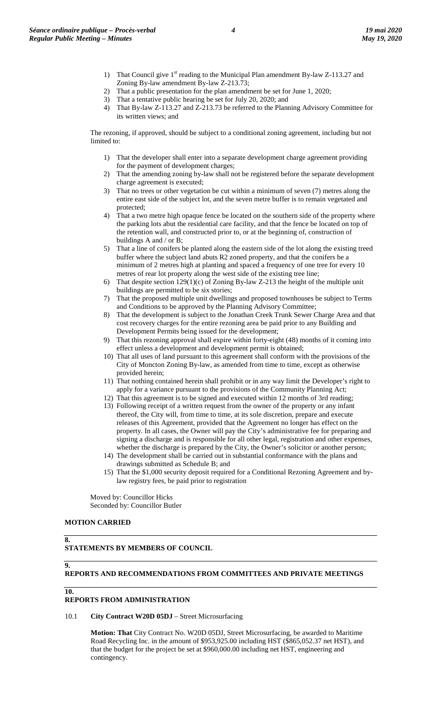- 1) That Council give 1<sup>st</sup> reading to the Municipal Plan amendment By-law Z-113.27 and Zoning By-law amendment By-law Z-213.73;
- 2) That a public presentation for the plan amendment be set for June 1, 2020;
- 3) That a tentative public hearing be set for July 20, 2020; and
- 4) That By-law Z-113.27 and Z-213.73 be referred to the Planning Advisory Committee for its written views; and

The rezoning, if approved, should be subject to a conditional zoning agreement, including but not limited to:

- 1) That the developer shall enter into a separate development charge agreement providing for the payment of development charges;
- 2) That the amending zoning by-law shall not be registered before the separate development charge agreement is executed;
- 3) That no trees or other vegetation be cut within a minimum of seven (7) metres along the entire east side of the subject lot, and the seven metre buffer is to remain vegetated and protected;
- 4) That a two metre high opaque fence be located on the southern side of the property where the parking lots abut the residential care facility, and that the fence be located on top of the retention wall, and constructed prior to, or at the beginning of, construction of buildings A and / or B;
- 5) That a line of conifers be planted along the eastern side of the lot along the existing treed buffer where the subject land abuts R2 zoned property, and that the conifers be a minimum of 2 metres high at planting and spaced a frequency of one tree for every 10 metres of rear lot property along the west side of the existing tree line;
- 6) That despite section 129(1)(c) of Zoning By-law Z-213 the height of the multiple unit buildings are permitted to be six stories;
- 7) That the proposed multiple unit dwellings and proposed townhouses be subject to Terms and Conditions to be approved by the Planning Advisory Committee;
- 8) That the development is subject to the Jonathan Creek Trunk Sewer Charge Area and that cost recovery charges for the entire rezoning area be paid prior to any Building and Development Permits being issued for the development;
- 9) That this rezoning approval shall expire within forty-eight (48) months of it coming into effect unless a development and development permit is obtained;
- 10) That all uses of land pursuant to this agreement shall conform with the provisions of the City of Moncton Zoning By-law, as amended from time to time, except as otherwise provided herein;
- 11) That nothing contained herein shall prohibit or in any way limit the Developer's right to apply for a variance pursuant to the provisions of the Community Planning Act;
- 12) That this agreement is to be signed and executed within 12 months of 3rd reading;
- 13) Following receipt of a written request from the owner of the property or any infant thereof, the City will, from time to time, at its sole discretion, prepare and execute releases of this Agreement, provided that the Agreement no longer has effect on the property. In all cases, the Owner will pay the City's administrative fee for preparing and signing a discharge and is responsible for all other legal, registration and other expenses, whether the discharge is prepared by the City, the Owner's solicitor or another person;
- 14) The development shall be carried out in substantial conformance with the plans and drawings submitted as Schedule B; and
- 15) That the \$1,000 security deposit required for a Conditional Rezoning Agreement and bylaw registry fees, be paid prior to registration

Moved by: Councillor Hicks Seconded by: Councillor Butler

## **MOTION CARRIED**

#### **8. STATEMENTS BY MEMBERS OF COUNCIL**

# **9.**

**REPORTS AND RECOMMENDATIONS FROM COMMITTEES AND PRIVATE MEETINGS** 

## **10.**

# **REPORTS FROM ADMINISTRATION**

## 10.1 **City Contract W20D 05DJ** – Street Microsurfacing

**Motion: That** City Contract No. W20D 05DJ, Street Microsurfacing, be awarded to Maritime Road Recycling Inc. in the amount of \$953,925.00 including HST (\$865,052.37 net HST), and that the budget for the project be set at \$960,000.00 including net HST, engineering and contingency.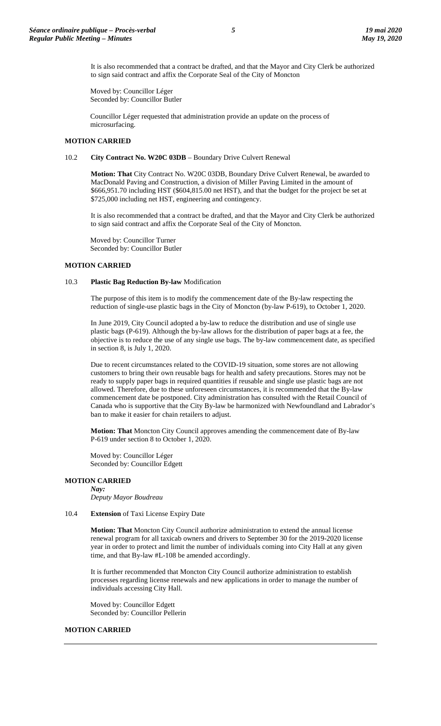It is also recommended that a contract be drafted, and that the Mayor and City Clerk be authorized to sign said contract and affix the Corporate Seal of the City of Moncton

Moved by: Councillor Léger Seconded by: Councillor Butler

Councillor Léger requested that administration provide an update on the process of microsurfacing.

## **MOTION CARRIED**

### 10.2 **City Contract No. W20C 03DB** – Boundary Drive Culvert Renewal

**Motion: That** City Contract No. W20C 03DB, Boundary Drive Culvert Renewal, be awarded to MacDonald Paving and Construction, a division of Miller Paving Limited in the amount of \$666,951.70 including HST (\$604,815.00 net HST), and that the budget for the project be set at \$725,000 including net HST, engineering and contingency.

It is also recommended that a contract be drafted, and that the Mayor and City Clerk be authorized to sign said contract and affix the Corporate Seal of the City of Moncton.

Moved by: Councillor Turner Seconded by: Councillor Butler

## **MOTION CARRIED**

### 10.3 **Plastic Bag Reduction By-law** Modification

The purpose of this item is to modify the commencement date of the By-law respecting the reduction of single-use plastic bags in the City of Moncton (by-law P-619), to October 1, 2020.

In June 2019, City Council adopted a by-law to reduce the distribution and use of single use plastic bags (P-619). Although the by-law allows for the distribution of paper bags at a fee, the objective is to reduce the use of any single use bags. The by-law commencement date, as specified in section 8, is July 1, 2020.

Due to recent circumstances related to the COVID-19 situation, some stores are not allowing customers to bring their own reusable bags for health and safety precautions. Stores may not be ready to supply paper bags in required quantities if reusable and single use plastic bags are not allowed. Therefore, due to these unforeseen circumstances, it is recommended that the By-law commencement date be postponed. City administration has consulted with the Retail Council of Canada who is supportive that the City By-law be harmonized with Newfoundland and Labrador's ban to make it easier for chain retailers to adjust.

**Motion: That** Moncton City Council approves amending the commencement date of By-law P-619 under section 8 to October 1, 2020.

Moved by: Councillor Léger Seconded by: Councillor Edgett

## **MOTION CARRIED**

*Nay: Deputy Mayor Boudreau*

10.4 **Extension** of Taxi License Expiry Date

**Motion: That** Moncton City Council authorize administration to extend the annual license renewal program for all taxicab owners and drivers to September 30 for the 2019-2020 license year in order to protect and limit the number of individuals coming into City Hall at any given time, and that By-law #L-108 be amended accordingly.

It is further recommended that Moncton City Council authorize administration to establish processes regarding license renewals and new applications in order to manage the number of individuals accessing City Hall.

Moved by: Councillor Edgett Seconded by: Councillor Pellerin

#### **MOTION CARRIED**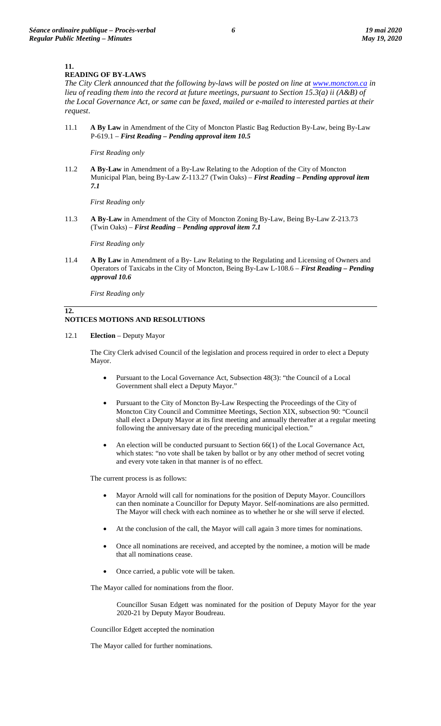## **11.**

## **READING OF BY-LAWS**

The City Clerk announced that the following by-laws will be posted on line at **www.moncton.ca** in *lieu of reading them into the record at future meetings, pursuant to Section 15.3(a) ii (A&B) of the Local Governance Act, or same can be faxed, mailed or e-mailed to interested parties at their request*.

11.1 **A By Law** in Amendment of the City of Moncton Plastic Bag Reduction By-Law, being By-Law P-619.1 – *First Reading – Pending approval item 10.5*

*First Reading only*

11.2 **A By-Law** in Amendment of a By-Law Relating to the Adoption of the City of Moncton Municipal Plan, being By-Law Z-113.27 (Twin Oaks) – *First Reading – Pending approval item 7.1*

*First Reading only*

11.3 **A By-Law** in Amendment of the City of Moncton Zoning By-Law, Being By-Law Z-213.73 (Twin Oaks) – *First Reading* – *Pending approval item 7.1*

*First Reading only*

11.4 **A By Law** in Amendment of a By- Law Relating to the Regulating and Licensing of Owners and Operators of Taxicabs in the City of Moncton, Being By-Law L-108.6 – *First Reading – Pending approval 10.6*

*First Reading only*

## **12. NOTICES MOTIONS AND RESOLUTIONS**

12.1 **Election** – Deputy Mayor

The City Clerk advised Council of the legislation and process required in order to elect a Deputy Mayor.

- Pursuant to the Local Governance Act, Subsection 48(3): "the Council of a Local Government shall elect a Deputy Mayor."
- Pursuant to the City of Moncton By-Law Respecting the Proceedings of the City of Moncton City Council and Committee Meetings, Section XIX, subsection 90: "Council shall elect a Deputy Mayor at its first meeting and annually thereafter at a regular meeting following the anniversary date of the preceding municipal election."
- An election will be conducted pursuant to Section 66(1) of the Local Governance Act, which states: "no vote shall be taken by ballot or by any other method of secret voting and every vote taken in that manner is of no effect.

The current process is as follows:

- Mayor Arnold will call for nominations for the position of Deputy Mayor. Councillors can then nominate a Councillor for Deputy Mayor. Self-nominations are also permitted. The Mayor will check with each nominee as to whether he or she will serve if elected.
- At the conclusion of the call, the Mayor will call again 3 more times for nominations.
- Once all nominations are received, and accepted by the nominee, a motion will be made that all nominations cease.
- Once carried, a public vote will be taken.

The Mayor called for nominations from the floor.

Councillor Susan Edgett was nominated for the position of Deputy Mayor for the year 2020-21 by Deputy Mayor Boudreau.

Councillor Edgett accepted the nomination

The Mayor called for further nominations.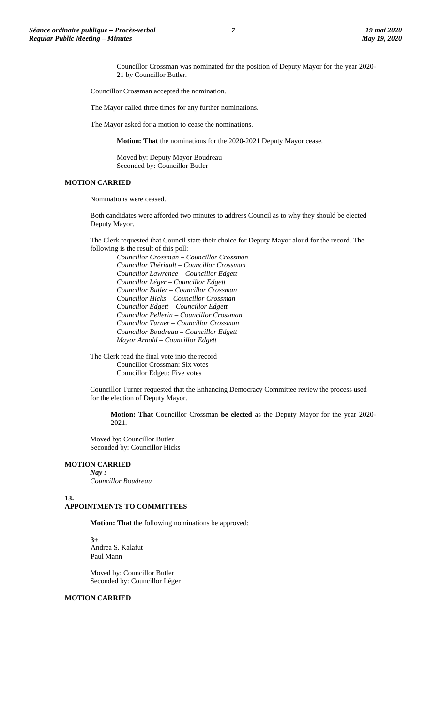Councillor Crossman was nominated for the position of Deputy Mayor for the year 2020- 21 by Councillor Butler.

Councillor Crossman accepted the nomination.

The Mayor called three times for any further nominations.

The Mayor asked for a motion to cease the nominations.

**Motion: That** the nominations for the 2020-2021 Deputy Mayor cease.

Moved by: Deputy Mayor Boudreau Seconded by: Councillor Butler

## **MOTION CARRIED**

Nominations were ceased.

Both candidates were afforded two minutes to address Council as to why they should be elected Deputy Mayor.

The Clerk requested that Council state their choice for Deputy Mayor aloud for the record. The following is the result of this poll:

*Councillor Crossman – Councillor Crossman Councillor Thériault – Councillor Crossman Councillor Lawrence – Councillor Edgett Councillor Léger – Councillor Edgett Councillor Butler – Councillor Crossman Councillor Hicks – Councillor Crossman Councillor Edgett – Councillor Edgett Councillor Pellerin – Councillor Crossman Councillor Turner – Councillor Crossman Councillor Boudreau – Councillor Edgett Mayor Arnold – Councillor Edgett*

The Clerk read the final vote into the record – Councillor Crossman: Six votes Councillor Edgett: Five votes

Councillor Turner requested that the Enhancing Democracy Committee review the process used for the election of Deputy Mayor.

**Motion: That** Councillor Crossman **be elected** as the Deputy Mayor for the year 2020- 2021.

Moved by: Councillor Butler Seconded by: Councillor Hicks

## **MOTION CARRIED**

**13.**

*Nay : Councillor Boudreau*

## **APPOINTMENTS TO COMMITTEES**

**Motion: That** the following nominations be approved:

**3+** Andrea S. Kalafut Paul Mann

Moved by: Councillor Butler Seconded by: Councillor Léger

## **MOTION CARRIED**